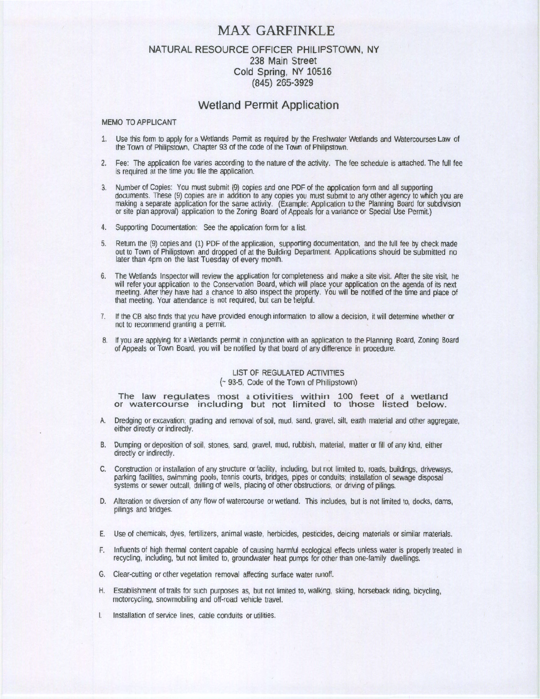# MAX GARFINKLE

# NATURAL RESOURCE OFFICER PHILIPSTOWN, NY 238 Main Street Cold Spring, NY 10516 (845) 265-3929

## Wetland Permit Application

#### MEMO TO APPLICANT

- 1. Use this form to apply for a Wetlands Permit as required by the Freshwater Wetlands and Watercourses Law of the Town of Philipstown, Chapter 93 of the code of the Town of Philipstown.
- 2. Fee: The application foe varies according to the nature of the activity. The fee schedule is attached. The full fee is required at the time you file the application.
- 3. Number of Copies: You must submit (9) copies and one PDF of the application form and all supporting documents. These (9) copies are in addition to any copies you must submit to any other agency to which you are making a separate application for the same activity. (Example: Application to the Planning Board for subdivision or site plan approval) application to the Zoning Board of Appeals for a variance or Special Use Permit.)
- 4. Supporting Documentation: See the application form for a list.
- 5. Return the (9) copies and (1) PDF of the application, supporting documentation, and the full fee by check made out to Town of Philipstown and dropped of at the Building Department. Applications should be submitted no later than 4pm on the last Tuesday of every month.
- 6. The Wetlands Inspector will review the application for completeness and make a site visit. After the site visit, he will refer your application to the Conservation Board, which will place your application on the agenda of its next meeting. After they have had a chance to also inspect the property. You will be notified of the time and place of that meeting. Your attendance is not required, but can be helpful.
- 7. If the CB also finds that you have provided enough information to allow a decision, it will determine whether or not to recommend granting a permit.
- 8. If you are applying for a Wetlands permit in conjunction with an application to the Planning Board, Zoning Board of Appeals or Town Board, you will be notified by that board of any difference in procedure.

# LIST OF REGULATED ACTIVITIES

#### (- 93-5, Code of the Town of Philipstown)

The law regulates most a otivities within 100 feet of a wetland or watercourse including but not limited to those listed below.

- A. Dredging or excavation; grading and removal of soil, mud, sand, gravel, silt, earth material and other aggregate, either directly or indirectly.
- B. Dumping or deposition of soil, stones, sand, gravel, mud, rubbish, material, matter or fill of any kind, either directly or indirectly.
- C. Construction or installation of any structure or facility, induding, but not limited to, roads, buildings, driveways, parking facilities, swimming pools, tennis courts, bridges, pipes or conduits, installation of sewage disposal systems or sewer outcall, drilling of wells, placing of other obstructions, or driving of pilings.
- D. Alteratlon or diversion of any flow of watercourse or wetland. This includes, but is not limited to, docks, dams, pilings and bridges.
- E. Use of chemicals, dyes, fertilizers, animal waste, herbicides, pesticides, deicing materials or similar materials.
- F. Influents of high thermal content capable of causing harmful ecological effects unless water is properly treated in recycling, including, but not limited to, groundwater heat pumps for other than one-family dwellings.
- G. Clear-cutting or other vegetation removal affecting surface water runoff.
- H. Establishment of trails for such purposes as, but not limited to, walkrng, skiing, horseback riding, bicycling, motorcycling, snowmobiling and off-road vehicle travel.
- Installation of service lines, cable conduits or utilities.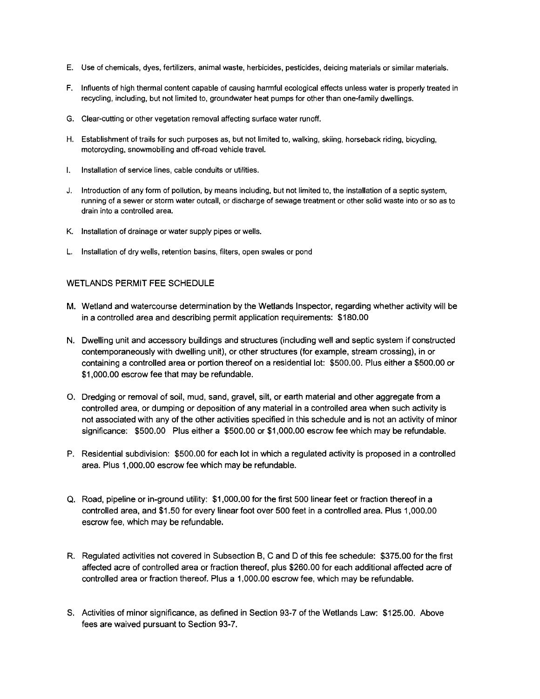- E. Use of chemicals, dyes, fertilizers, animal waste, herbicides, pesticides, deicing materials or similar materials.
- F. Influents of high thermal content capable of causing harmful ecological effects unless water is properly treated in recycling, including, but not limited to, groundwater heat pumps for other than one-family dwellings.
- G. Clear-cutting or other vegetation removal affecting surface water runoff.
- H. Establishment of trails for such purposes as, but not limited to, walking, skiing, horseback riding, bicycling, motorcycling, snowmobiling and off-road vehicle travel.
- I. Installation of service lines, cable conduits or utilities.
- J. Introduction of any form of pollution, by means including, but not limited to, the installation of a septic system, running of a sewer or storm water outcall, or discharge of sewage treatment or other solid waste into or so as to drain into a controlled area.
- K. Installation of drainage or water supply pipes or wells.
- L. Installation of dry wells, retention basins, filters, open swales or pond

#### WETI ANDS PERMIT FFE SCHEDULE

- M. Wetland and watercourse determination by the Wetlands Inspector, regarding whether activity will be in a controlled area and describing permit application requirements: \$180.00
- N. Dwelling unit and accessory buildings and structures (including well and septic system if constructed contemporaneously with dwelling unit), or other structures (for example, stream crossing), in or containing a controlled area or portion thereof on a residential lot: \$500.00. Plus either a \$500.00 or \$1,000.00 escrow fee that may be refundable.
- O. Dredging or removal of soil, mud, sand, gravel, silt, or earth material and other aggregate from a controlled area, or dumping or deposition of any material in a controlled area when such activity is not associated with any of the other activities specified in this schedule and is not an activity of minor significance: \$500.00 Plus either a \$500.00 or \$1,000.00 escrow fee which may be refundable.
- P. Residential subdivision: \$500.00 for each lot in which a regulated activity is proposed in a controlled area. Plus 1,000.00 escrow fee which may be refundable.
- Q. Road, pipeline or in-ground utility: \$1,000.00 for the first 500 linear feet or fraction thereof in a controlled area, and \$1.50 for every linear foot over 500 feet in a controlled area. Plus 1,000.00 escrow fee, which may be refundable.
- R. Regulated activities not covered in Subsection B, C and D of this fee schedule: \$375.00 for the first affected acre of controlled area or fraction thereof, plus \$260.00 for each additional affected acre of controlled area or fraction thereof. Plus a 1,000.00 escrow fee, which may be refundable.
- S. Activities of minor significance, as defined in Section 93-7 of the Wetlands Law: \$125.00. Above fees are waived pursuant to Section 93-7.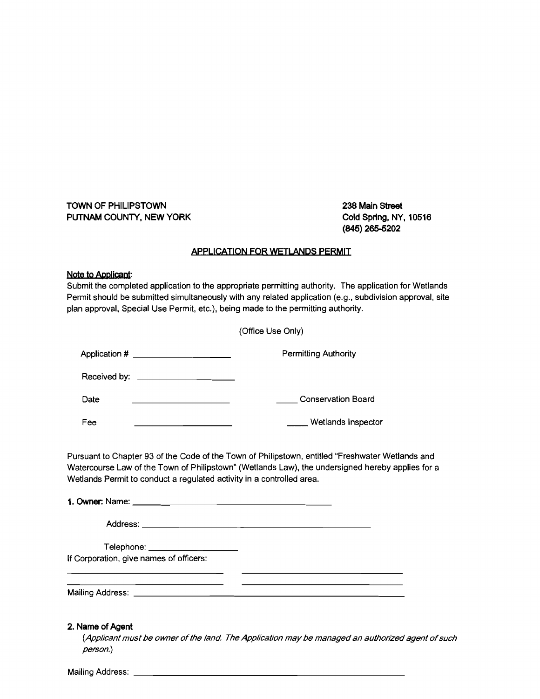TOWN OF PHILIPSTOWN 238 Main Street PUTNAM COUNTY, NEW YORK Cold Spring, NY, 10516

(845) 265-5202

### APPLICATION FOR WETLANDS PERMIT

#### Note to Applicant:

Mailing Address: \_

Submit the completed application to the appropriate permitting authority. The application for Wetlands Permit should be submitted simultaneously with any related application (e.g., subdivision approval, site plan approval, Special Use Permit, etc.), being made to the permitting authority.

|                              | (Office Use Only)                                                                                                                                                                                                                                                             |
|------------------------------|-------------------------------------------------------------------------------------------------------------------------------------------------------------------------------------------------------------------------------------------------------------------------------|
|                              | Application # ______________________<br><b>Permitting Authority</b>                                                                                                                                                                                                           |
|                              | Received by: $\sqrt{2\pi}$                                                                                                                                                                                                                                                    |
| Date                         | Conservation Board<br>the control of the control of the control of the control of                                                                                                                                                                                             |
| Fee                          | Wetlands Inspector                                                                                                                                                                                                                                                            |
|                              | Pursuant to Chapter 93 of the Code of the Town of Philipstown, entitled "Freshwater Wetlands and<br>Watercourse Law of the Town of Philipstown" (Wetlands Law), the undersigned hereby applies for a<br>Wetlands Permit to conduct a regulated activity in a controlled area. |
|                              |                                                                                                                                                                                                                                                                               |
|                              | Telephone: ____________________                                                                                                                                                                                                                                               |
|                              | If Corporation, give names of officers:                                                                                                                                                                                                                                       |
|                              | <u> 1980 - Johann Barn, fransk politik amerikansk politik (d. 1980)</u><br><u> 1989 - John Stein, Amerikaansk politiker (</u> † 1915)                                                                                                                                         |
| 2. Name of Agent<br>person.) | (Applicant must be owner of the land. The Application may be managed an authorized agent of such                                                                                                                                                                              |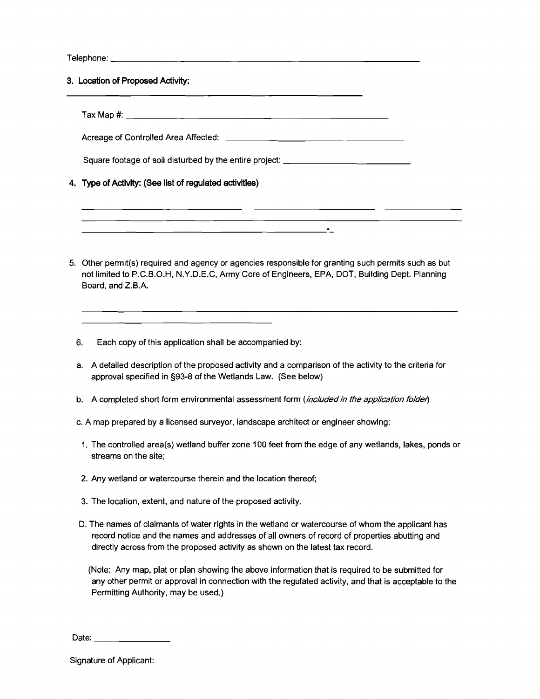Telephone: \_

3. Location of Proposed Activity:

Tax Map #: \_

Acreage of Controlled Area Affected:

 $\overline{a}$ 

Square footage of soil disturbed by the entire project: \_

4. Type of Activity: (See list of regulated activities)

5. Other permit(s) required and agency or agencies responsible for granting such permits such as but not limited to P.C.B.O.H, N.Y.D.E.C, Army Core of Engineers, EPA, DOT, Building Dept. Planning Board, and Z.B.A.

-

6. Each copy of this application shall be accompanied by:

-----------------------

- a. A detailed description of the proposed activity and a comparison of the activity to the criteria for approval specified in §93-8 of the Wetlands Law. (See below)
- b. A completed short form environmental assessment form (included in the application folder)
- c. A map prepared by a licensed surveyor, landscape architect or engineer showing:
- 1. The controlled area(s) wetland buffer zone 100 feet from the edge of any wetlands, lakes, ponds or streams on the site;
- 2. Any wetland or watercourse therein and the location thereof;
- 3. The location, extent, and nature of the proposed activity.
- D. The names of claimants of water rights in the wetland or watercourse of whom the applicant has record notice and the names and addresses of all owners of record of properties abutting and directly across from the proposed activity as shown on the latest tax record.

(Note: Any map, plat or plan showing the above information that is required to be submitted for any other permit or approval in connection with the regulated activity, and that is acceptable to the Permitting Authority, may be used.)

Date: \_

Signature of Applicant: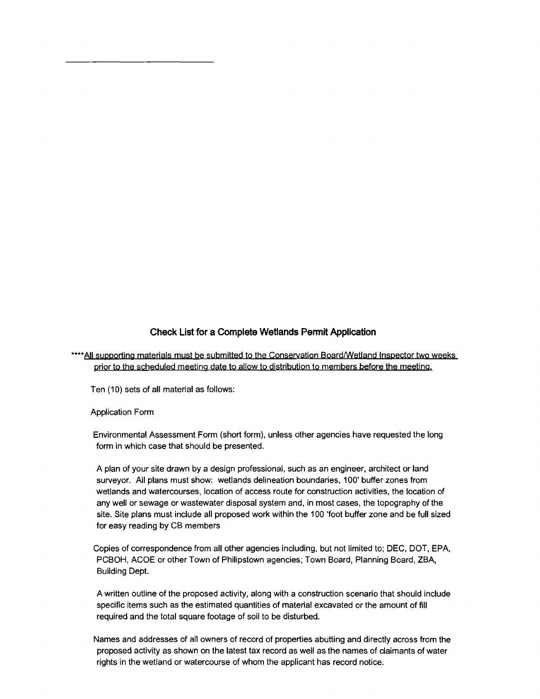# **Check List for a Complete Wetlands Permit Application**

\*\*\*\* All supporting materials must be submitted to the Conservation Board/Wetland Inspector two weeks prior to the scheduled meeting date to allow to distribution to members before the meeting.

Ten (10) sets of all material as follows:

Application Form

Environmental Assessment Form (short form), unless other agencies have requested the long form in which case that should be presented.

A plan of your site drawn by a design professional, such as an engineer, architect or land surveyor. All plans must show: wetlands delineation boundaries, 100' buffer zones from wetlands and watercourses, location of access route for construction activities, the location of any well or sewage or wastewater disposal system and, in most cases, the topography of the site. Site plans must include all proposed work within the 100 'foot buffer zone and be full sized for easy reading by CB members

Copies of correspondence from all other agencies including, but not limited to; DEC, DOT, EPA, PCBOH, ACOE or other Town of Philipstown agencies; Town Board, Planning Board, ZBA, Building Dept.

A written outline of the proposed activity, along with a construction scenario that should include specific items such as the estimated quantities of material excavated or the amount of fill required and the total square footage of soil to be disturbed.

Names and addresses of all owners of record of properties abutting and directly across from the proposed activity as shown on the latest tax record as well as the names of claimants of water rights in the wetland or watercourse of whom the applicant has record notice.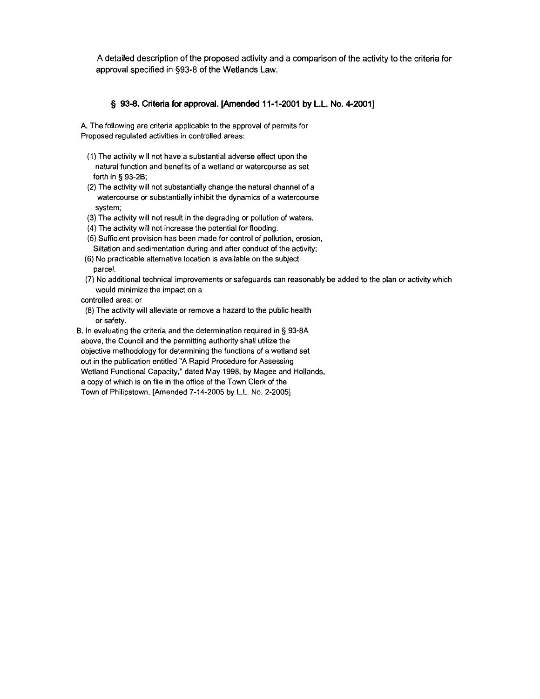A detailed description of the proposed activity and a comparison of the activity to the criteria for approval specified in §93-8 of the Wetlands Law.

#### **§ 93-8. Criteria for approval. [Amended 11-1-2001 by L.L.** No. 4-2001]

A. The following are criteria applicable to the approval of permits for Proposed regulated activities in controlled areas:

- (1) The activity will not have a substantial adverse effect upon the natural function and benefits of a wetland or watercourse as set forth in § 93-2B;
- (2) The activity will not substantially change the natural channel of a watercourse or substantially inhibit the dynamics of a watercourse system;
- (3) The activity will not result in the degrading or pollution of waters.
- (4) The activity will not increase the potential for flooding.
- (5) Sufficient provision has been made for control of pollution, erosion,
- Siltation and sedimentation during and after conduct of the activity; (6) No practicable alternative location is available on the subject
- parcel.
- (7) No additional technical improvements or safeguards can reasonably be added to the plan or activity which would minimize the impact on a

controlled area; or

(8) The activity will alleviate or remove a hazard to the public health or safety.

B. In evaluating the criteria and the determination required in § 93-8A above, the Council and the permitting authority shall utilize the objective methodology for determining the functions of a wetland set out in the publication entitled "A Rapid Procedure for Assessing Wetland Functional Capacity," dated May 1998. by Magee and Hollands, a copy of which is on file in the office of the Town Clerk of the Town of Philipstown. [Amended 7-14-2005 by L.L. No. 2-2005]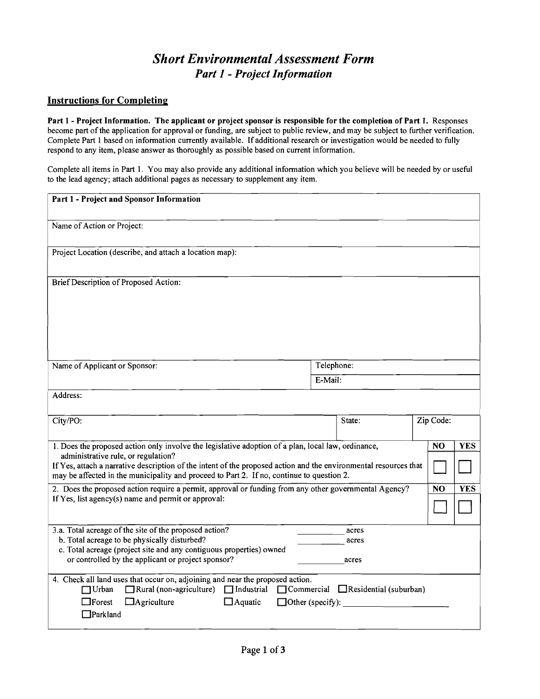# *Short Environmental Assessment Form Part* 1 - *Project Information*

## Instructions for Completing

Part 1 - Project Information. The applicant or project sponsor is responsible for the completion of Part 1. Responses become part of the application for approval or funding, are subject to public review, and may be subject to further verification. Complete Part 1 based on information currently available. If additional research or investigation would be needed to fully respond to any item, please answer as thoroughly as possible based on current information.

Complete alI items in Part 1. You may also provide any additional information which you believe will be needed by or useful to the lead agency; attach additional pages as necessary to supplement any item.

| Part 1 - Project and Sponsor Information                                                                                                                                                                                                             |         |                                                 |           |                |            |
|------------------------------------------------------------------------------------------------------------------------------------------------------------------------------------------------------------------------------------------------------|---------|-------------------------------------------------|-----------|----------------|------------|
| Name of Action or Project:                                                                                                                                                                                                                           |         |                                                 |           |                |            |
| Project Location (describe, and attach a location map):                                                                                                                                                                                              |         |                                                 |           |                |            |
| Brief Description of Proposed Action:                                                                                                                                                                                                                |         |                                                 |           |                |            |
| Name of Applicant or Sponsor:                                                                                                                                                                                                                        |         | Telephone:                                      |           |                |            |
|                                                                                                                                                                                                                                                      | E-Mail: |                                                 |           |                |            |
| Address:                                                                                                                                                                                                                                             |         |                                                 |           |                |            |
| City/PO:                                                                                                                                                                                                                                             |         | State:                                          | Zip Code: |                |            |
| 1. Does the proposed action only involve the legislative adoption of a plan, local law, ordinance,                                                                                                                                                   |         |                                                 |           | N <sub>O</sub> | <b>YES</b> |
| administrative rule, or regulation?<br>If Yes, attach a narrative description of the intent of the proposed action and the environmental resources that<br>may be affected in the municipality and proceed to Part 2. If no, continue to question 2. |         |                                                 |           |                |            |
| 2. Does the proposed action require a permit, approval or funding from any other governmental Agency?                                                                                                                                                |         |                                                 |           | <b>NO</b>      | <b>YES</b> |
| If Yes, list agency(s) name and permit or approval:                                                                                                                                                                                                  |         |                                                 |           |                |            |
| 3.a. Total acreage of the site of the proposed action?                                                                                                                                                                                               |         | acres                                           |           |                |            |
| b. Total acreage to be physically disturbed?<br>c. Total acreage (project site and any contiguous properties) owned                                                                                                                                  |         | acres                                           |           |                |            |
| or controlled by the applicant or project sponsor?                                                                                                                                                                                                   |         | acres                                           |           |                |            |
| 4. Check all land uses that occur on, adjoining and near the proposed action.<br>$\Box$ Rural (non-agriculture) $\Box$ Industrial<br>$\Box$ Urban                                                                                                    |         | $\Box$ Commercial $\Box$ Residential (suburban) |           |                |            |
| $\Box$ Forest<br>$\Box$ Agriculture<br>$\Box$ Aquatic<br>$\Box$ Other (specify):                                                                                                                                                                     |         |                                                 |           |                |            |
| $\Box$ Parkland                                                                                                                                                                                                                                      |         |                                                 |           |                |            |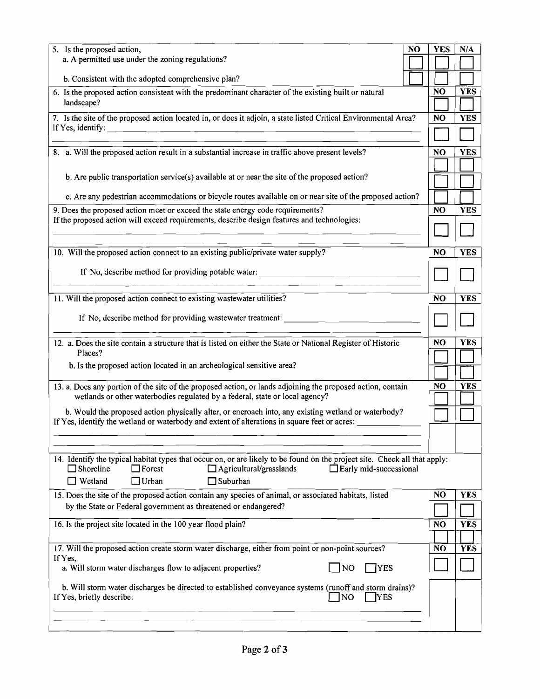| 5. Is the proposed action,<br>NO<br>a. A permitted use under the zoning regulations?                                                                                      |  | <b>YES</b>     | N/A        |
|---------------------------------------------------------------------------------------------------------------------------------------------------------------------------|--|----------------|------------|
|                                                                                                                                                                           |  |                |            |
| b. Consistent with the adopted comprehensive plan?                                                                                                                        |  |                |            |
| 6. Is the proposed action consistent with the predominant character of the existing built or natural                                                                      |  | NO             | <b>YES</b> |
| landscape?                                                                                                                                                                |  |                |            |
| 7. Is the site of the proposed action located in, or does it adjoin, a state listed Critical Environmental Area?<br>If Yes, identify: $\qquad \qquad$                     |  | <b>NO</b>      | <b>YES</b> |
|                                                                                                                                                                           |  |                |            |
| 8. a. Will the proposed action result in a substantial increase in traffic above present levels?                                                                          |  | <b>NO</b>      | <b>YES</b> |
|                                                                                                                                                                           |  |                |            |
| b. Are public transportation service(s) available at or near the site of the proposed action?                                                                             |  |                |            |
| c. Are any pedestrian accommodations or bicycle routes available on or near site of the proposed action?                                                                  |  |                |            |
| 9. Does the proposed action meet or exceed the state energy code requirements?                                                                                            |  | <b>NO</b>      | <b>YES</b> |
| If the proposed action will exceed requirements, describe design features and technologies:                                                                               |  |                |            |
|                                                                                                                                                                           |  |                |            |
| 10. Will the proposed action connect to an existing public/private water supply?                                                                                          |  | NO             | <b>YES</b> |
| If No, describe method for providing potable water: ____________________________                                                                                          |  |                |            |
|                                                                                                                                                                           |  |                |            |
| 11. Will the proposed action connect to existing wastewater utilities?                                                                                                    |  | <b>NO</b>      | <b>YES</b> |
|                                                                                                                                                                           |  |                |            |
| If No, describe method for providing wastewater treatment:                                                                                                                |  |                |            |
| 12. a. Does the site contain a structure that is listed on either the State or National Register of Historic                                                              |  | N <sub>O</sub> | <b>YES</b> |
| Places?                                                                                                                                                                   |  |                |            |
| b. Is the proposed action located in an archeological sensitive area?                                                                                                     |  |                |            |
| 13. a. Does any portion of the site of the proposed action, or lands adjoining the proposed action, contain                                                               |  | NO             | <b>YES</b> |
| wetlands or other waterbodies regulated by a federal, state or local agency?                                                                                              |  |                |            |
| b. Would the proposed action physically alter, or encroach into, any existing wetland or waterbody?                                                                       |  |                |            |
| If Yes, identify the wetland or waterbody and extent of alterations in square feet or acres:                                                                              |  |                |            |
|                                                                                                                                                                           |  |                |            |
| 14. Identify the typical habitat types that occur on, or are likely to be found on the project site. Check all that apply:                                                |  |                |            |
| $\Box$ Shoreline<br>$\Box$ Forest<br>$\Box$ Agricultural/grasslands<br>$\Box$ Early mid-successional                                                                      |  |                |            |
| Wetland<br>$\Box$ Urban<br>$\sqcap$ Suburban                                                                                                                              |  |                |            |
| 15. Does the site of the proposed action contain any species of animal, or associated habitats, listed<br>by the State or Federal government as threatened or endangered? |  | NO             | <b>YES</b> |
|                                                                                                                                                                           |  |                |            |
| 16. Is the project site located in the 100 year flood plain?                                                                                                              |  | N <sub>O</sub> | YES        |
| 17. Will the proposed action create storm water discharge, either from point or non-point sources?                                                                        |  | <b>NO</b>      | <b>YES</b> |
| If Yes,                                                                                                                                                                   |  |                |            |
| a. Will storm water discharges flow to adjacent properties?<br>NO<br><b>TYES</b>                                                                                          |  |                |            |
| b. Will storm water discharges be directed to established conveyance systems (runoff and storm drains)?<br>If Yes, briefly describe:<br>N <sub>O</sub><br>YES             |  |                |            |
|                                                                                                                                                                           |  |                |            |
|                                                                                                                                                                           |  |                |            |